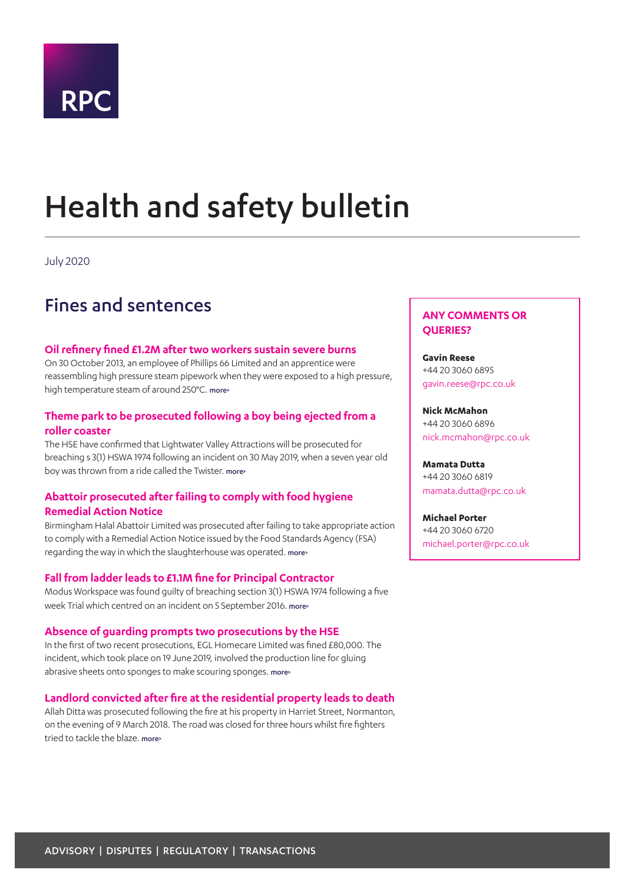

# <span id="page-0-0"></span>Health and safety bulletin

July 2020

## Fines and sentences

### **Oil refinery fined £1.2M after two workers sustain severe burns**

On 30 October 2013, an employee of Phillips 66 Limited and an apprentice were reassembling high pressure steam pipework when they were exposed to a high pressure, high temperature steam of around 250°C. more>

## **Theme park to be prosecuted following a boy being ejected from a roller coaster**

The HSE have confirmed that Lightwater Valley Attractions will be prosecuted for breaching s 3(1) HSWA 1974 following an incident on 30 May 2019, when a seven year old boy was thrown from a ride called the Twister. [more>](#page-3-0)

## **Abattoir prosecuted after failing to comply with food hygiene Remedial Action Notice**

Birmingham Halal Abattoir Limited was prosecuted after failing to take appropriate action to comply with a Remedial Action Notice issued by the Food Standards Agency (FSA) regarding the way in which the slaughterhouse was operated. [more>](#page-3-1)

## **Fall from ladder leads to £1.1M fine for Principal Contractor**

Modus Workspace was found guilty of breaching section 3(1) HSWA 1974 following a five week Trial which centred on an incident on 5 September 2016. more>

## **Absence of guarding prompts two prosecutions by the HSE**

In the first of two recent prosecutions, EGL Homecare Limited was fined £80,000. The incident, which took place on 19 June 2019, involved the production line for gluing abrasive sheets onto sponges to make scouring sponges. [more>](#page-4-0)

## **Landlord convicted after fire at the residential property leads to death**

Allah Ditta was prosecuted following the fire at his property in Harriet Street, Normanton, on the evening of 9 March 2018. The road was closed for three hours whilst fire fighters tried to tackle the blaze. [more>](#page-4-1)

## **ANY COMMENTS OR QUERIES?**

**Gavin Reese** +44 20 3060 6895 gavin.reese@rpc.co.uk

## **Nick McMahon** +44 20 3060 6896

nick.mcmahon@rpc.co.uk

**Mamata Dutta** +44 20 3060 6819 mamata.dutta@rpc.co.uk

**Michael Porter** +44 20 3060 6720 michael.porter@rpc.co.uk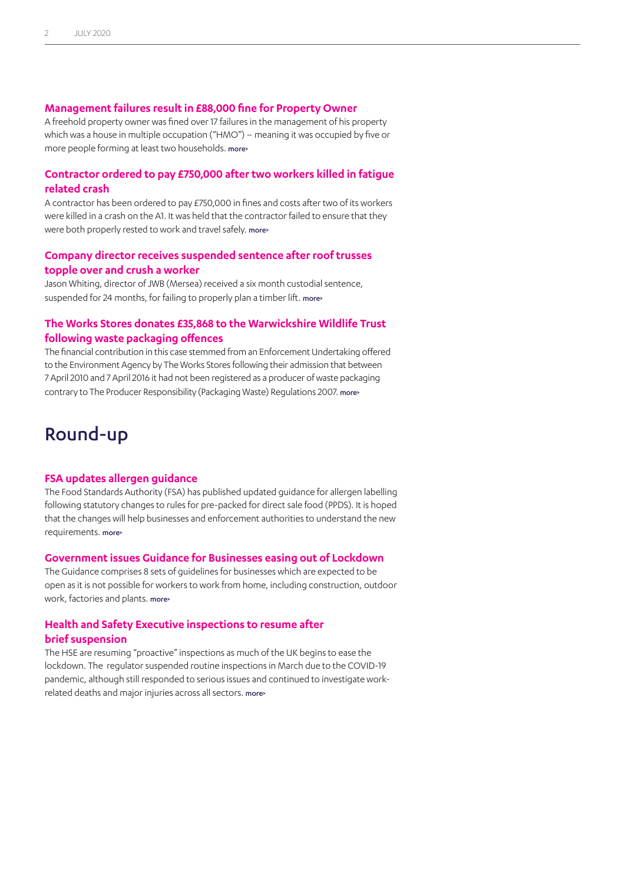#### **Management failures result in £88,000 fine for Property Owner**

A freehold property owner was fined over 17 failures in the management of his property which was a house in multiple occupation ("HMO") – meaning it was occupied by five or more people forming at least two households. more>

### **Contractor ordered to pay £750,000 after two workers killed in fatigue related crash**

A contractor has been ordered to pay £750,000 in fines and costs after two of its workers were killed in a crash on the A1. It was held that the contractor failed to ensure that they were both properly rested to work and travel safely. more

## **Company director receives suspended sentence after roof trusses topple over and crush a worker**

Jason Whiting, director of JWB (Mersea) received a six month custodial sentence, suspended for 24 months, for failing to properly plan a timber lift. more

## **The Works Stores donates £35,868 to the Warwickshire Wildlife Trust following waste packaging offences**

The financial contribution in this case stemmed from an Enforcement Undertaking offered to the Environment Agency by The Works Stores following their admission that between 7 April 2010 and 7 April 2016 it had not been registered as a producer of waste packaging contrary to The Producer Responsibility (Packaging Waste) Regulations 2007. more>

## Round-up

#### **FSA updates allergen guidance**

The Food Standards Authority (FSA) has published updated guidance for allergen labelling following statutory changes to rules for pre-packed for direct sale food (PPDS). It is hoped that the changes will help businesses and enforcement authorities to understand the new requirements. [more>](#page-8-0)

#### **Government issues Guidance for Businesses easing out of Lockdown**

The Guidance comprises 8 sets of guidelines for businesses which are expected to be open as it is not possible for workers to work from home, including construction, outdoor work, factories and plants. [more>](#page-8-1)

## **Health and Safety Executive inspections to resume after brief suspension**

The HSE are resuming "proactive" inspections as much of the UK begins to ease the lockdown. The regulator suspended routine inspections in March due to the COVID-19 pandemic, although still responded to serious issues and continued to investigate workrelated deaths and major injuries across all sectors. more>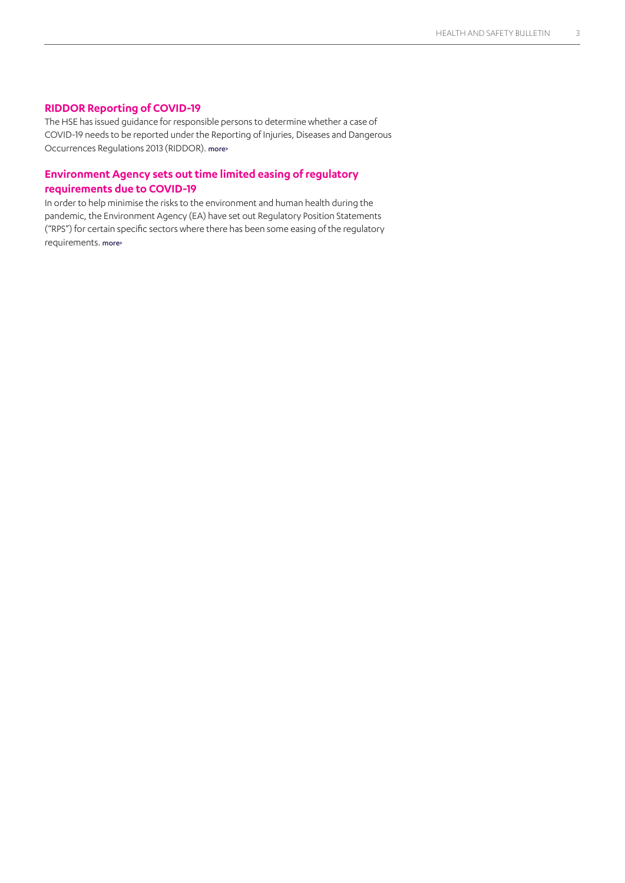### **RIDDOR Reporting of COVID-19**

The HSE has issued guidance for responsible persons to determine whether a case of COVID-19 needs to be reported under the Reporting of Injuries, Diseases and Dangerous Occurrences Regulations 2013 (RIDDOR). [more>](#page-9-0)

## **Environment Agency sets out time limited easing of regulatory requirements due to COVID-19**

In order to help minimise the risks to the environment and human health during the pandemic, the Environment Agency (EA) have set out Regulatory Position Statements ("RPS") for certain specific sectors where there has been some easing of the regulatory requirements. [more>](#page-9-1)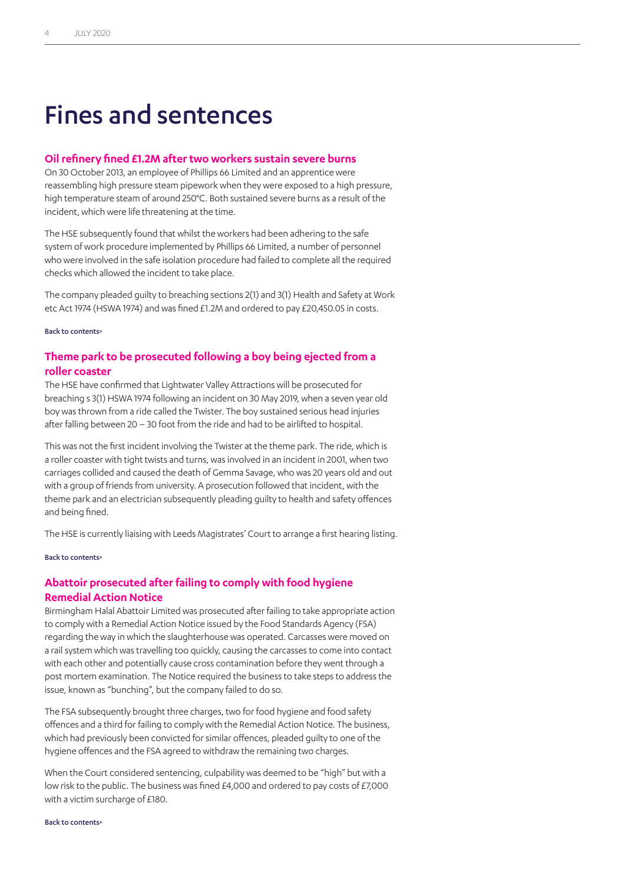## Fines and sentences

#### **Oil refinery fined £1.2M after two workers sustain severe burns**

On 30 October 2013, an employee of Phillips 66 Limited and an apprentice were reassembling high pressure steam pipework when they were exposed to a high pressure, high temperature steam of around 250°C. Both sustained severe burns as a result of the incident, which were life threatening at the time.

The HSE subsequently found that whilst the workers had been adhering to the safe system of work procedure implemented by Phillips 66 Limited, a number of personnel who were involved in the safe isolation procedure had failed to complete all the required checks which allowed the incident to take place.

The company pleaded guilty to breaching sections 2(1) and 3(1) Health and Safety at Work etc Act 1974 (HSWA 1974) and was fined £1.2M and ordered to pay £20,450.05 in costs.

#### [Back to contents>](#page-0-0)

## <span id="page-3-0"></span>**Theme park to be prosecuted following a boy being ejected from a roller coaster**

The HSE have confirmed that Lightwater Valley Attractions will be prosecuted for breaching s 3(1) HSWA 1974 following an incident on 30 May 2019, when a seven year old boy was thrown from a ride called the Twister. The boy sustained serious head injuries after falling between 20 – 30 foot from the ride and had to be airlifted to hospital.

This was not the first incident involving the Twister at the theme park. The ride, which is a roller coaster with tight twists and turns, was involved in an incident in 2001, when two carriages collided and caused the death of Gemma Savage, who was 20 years old and out with a group of friends from university. A prosecution followed that incident, with the theme park and an electrician subsequently pleading guilty to health and safety offences and being fined.

The HSE is currently liaising with Leeds Magistrates' Court to arrange a first hearing listing.

#### [Back to contents>](#page-0-0)

## <span id="page-3-1"></span>**Abattoir prosecuted after failing to comply with food hygiene Remedial Action Notice**

Birmingham Halal Abattoir Limited was prosecuted after failing to take appropriate action to comply with a Remedial Action Notice issued by the Food Standards Agency (FSA) regarding the way in which the slaughterhouse was operated. Carcasses were moved on a rail system which was travelling too quickly, causing the carcasses to come into contact with each other and potentially cause cross contamination before they went through a post mortem examination. The Notice required the business to take steps to address the issue, known as "bunching", but the company failed to do so.

The FSA subsequently brought three charges, two for food hygiene and food safety offences and a third for failing to comply with the Remedial Action Notice. The business, which had previously been convicted for similar offences, pleaded guilty to one of the hygiene offences and the FSA agreed to withdraw the remaining two charges.

When the Court considered sentencing, culpability was deemed to be "high" but with a low risk to the public. The business was fined £4,000 and ordered to pay costs of £7,000 with a victim surcharge of £180.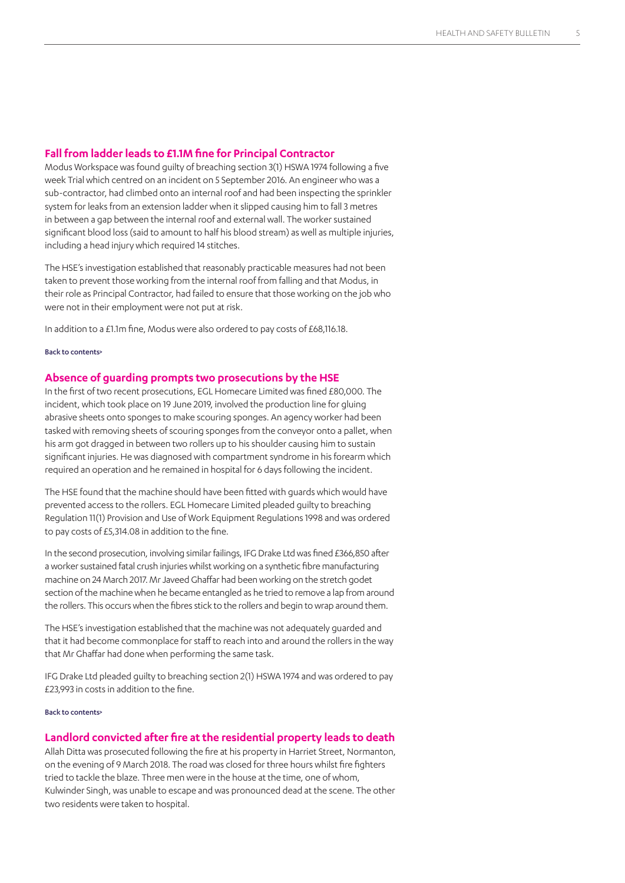#### **Fall from ladder leads to £1.1M fine for Principal Contractor**

Modus Workspace was found guilty of breaching section 3(1) HSWA 1974 following a five week Trial which centred on an incident on 5 September 2016. An engineer who was a sub-contractor, had climbed onto an internal roof and had been inspecting the sprinkler system for leaks from an extension ladder when it slipped causing him to fall 3 metres in between a gap between the internal roof and external wall. The worker sustained significant blood loss (said to amount to half his blood stream) as well as multiple injuries, including a head injury which required 14 stitches.

The HSE's investigation established that reasonably practicable measures had not been taken to prevent those working from the internal roof from falling and that Modus, in their role as Principal Contractor, had failed to ensure that those working on the job who were not in their employment were not put at risk.

In addition to a £1.1m fine, Modus were also ordered to pay costs of £68,116.18.

#### [Back to contents>](#page-0-0)

#### <span id="page-4-0"></span>**Absence of guarding prompts two prosecutions by the HSE**

In the first of two recent prosecutions, EGL Homecare Limited was fined £80,000. The incident, which took place on 19 June 2019, involved the production line for gluing abrasive sheets onto sponges to make scouring sponges. An agency worker had been tasked with removing sheets of scouring sponges from the conveyor onto a pallet, when his arm got dragged in between two rollers up to his shoulder causing him to sustain significant injuries. He was diagnosed with compartment syndrome in his forearm which required an operation and he remained in hospital for 6 days following the incident.

The HSE found that the machine should have been fitted with guards which would have prevented access to the rollers. EGL Homecare Limited pleaded guilty to breaching Regulation 11(1) Provision and Use of Work Equipment Regulations 1998 and was ordered to pay costs of £5,314.08 in addition to the fine.

In the second prosecution, involving similar failings, IFG Drake Ltd was fined £366,850 after a worker sustained fatal crush injuries whilst working on a synthetic fibre manufacturing machine on 24 March 2017. Mr Javeed Ghaffar had been working on the stretch godet section of the machine when he became entangled as he tried to remove a lap from around the rollers. This occurs when the fibres stick to the rollers and begin to wrap around them.

The HSE's investigation established that the machine was not adequately guarded and that it had become commonplace for staff to reach into and around the rollers in the way that Mr Ghaffar had done when performing the same task.

IFG Drake Ltd pleaded guilty to breaching section 2(1) HSWA 1974 and was ordered to pay £23,993 in costs in addition to the fine.

#### [Back to contents>](#page-0-0)

#### <span id="page-4-1"></span>**Landlord convicted after fire at the residential property leads to death**

Allah Ditta was prosecuted following the fire at his property in Harriet Street, Normanton, on the evening of 9 March 2018. The road was closed for three hours whilst fire fighters tried to tackle the blaze. Three men were in the house at the time, one of whom, Kulwinder Singh, was unable to escape and was pronounced dead at the scene. The other two residents were taken to hospital.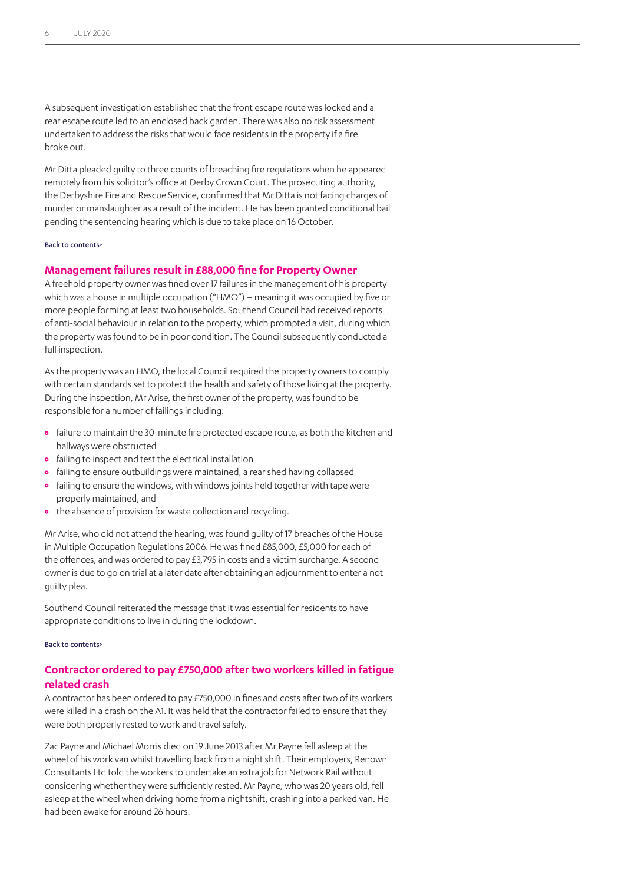A subsequent investigation established that the front escape route was locked and a rear escape route led to an enclosed back garden. There was also no risk assessment undertaken to address the risks that would face residents in the property if a fire broke out.

Mr Ditta pleaded guilty to three counts of breaching fire regulations when he appeared remotely from his solicitor's office at Derby Crown Court. The prosecuting authority, the Derbyshire Fire and Rescue Service, confirmed that Mr Ditta is not facing charges of murder or manslaughter as a result of the incident. He has been granted conditional bail pending the sentencing hearing which is due to take place on 16 October.

#### [Back to contents>](#page-0-0)

#### **Management failures result in £88,000 fine for Property Owner**

A freehold property owner was fined over 17 failures in the management of his property which was a house in multiple occupation ("HMO") – meaning it was occupied by five or more people forming at least two households. Southend Council had received reports of anti-social behaviour in relation to the property, which prompted a visit, during which the property was found to be in poor condition. The Council subsequently conducted a full inspection.

As the property was an HMO, the local Council required the property owners to comply with certain standards set to protect the health and safety of those living at the property. During the inspection, Mr Arise, the first owner of the property, was found to be responsible for a number of failings including:

- **•** failure to maintain the 30-minute fire protected escape route, as both the kitchen and hallways were obstructed
- **•** failing to inspect and test the electrical installation
- **•** failing to ensure outbuildings were maintained, a rear shed having collapsed
- **•** failing to ensure the windows, with windows joints held together with tape were properly maintained, and
- **•** the absence of provision for waste collection and recycling.

Mr Arise, who did not attend the hearing, was found guilty of 17 breaches of the House in Multiple Occupation Regulations 2006. He was fined £85,000, £5,000 for each of the offences, and was ordered to pay £3,795 in costs and a victim surcharge. A second owner is due to go on trial at a later date after obtaining an adjournment to enter a not guilty plea.

Southend Council reiterated the message that it was essential for residents to have appropriate conditions to live in during the lockdown.

#### [Back to contents>](#page-0-0)

## **Contractor ordered to pay £750,000 after two workers killed in fatigue related crash**

A contractor has been ordered to pay £750,000 in fines and costs after two of its workers were killed in a crash on the A1. It was held that the contractor failed to ensure that they were both properly rested to work and travel safely.

Zac Payne and Michael Morris died on 19 June 2013 after Mr Payne fell asleep at the wheel of his work van whilst travelling back from a night shift. Their employers, Renown Consultants Ltd told the workers to undertake an extra job for Network Rail without considering whether they were sufficiently rested. Mr Payne, who was 20 years old, fell asleep at the wheel when driving home from a nightshift, crashing into a parked van. He had been awake for around 26 hours.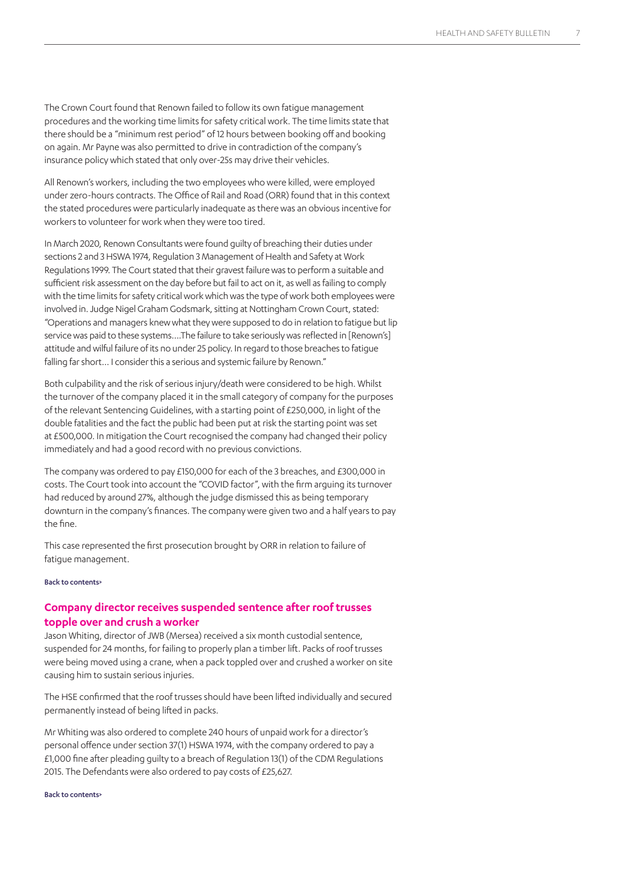The Crown Court found that Renown failed to follow its own fatigue management procedures and the working time limits for safety critical work. The time limits state that there should be a "minimum rest period" of 12 hours between booking off and booking on again. Mr Payne was also permitted to drive in contradiction of the company's insurance policy which stated that only over-25s may drive their vehicles.

All Renown's workers, including the two employees who were killed, were employed under zero-hours contracts. The Office of Rail and Road (ORR) found that in this context the stated procedures were particularly inadequate as there was an obvious incentive for workers to volunteer for work when they were too tired.

In March 2020, Renown Consultants were found guilty of breaching their duties under sections 2 and 3 HSWA 1974, Regulation 3 Management of Health and Safety at Work Regulations 1999. The Court stated that their gravest failure was to perform a suitable and sufficient risk assessment on the day before but fail to act on it, as well as failing to comply with the time limits for safety critical work which was the type of work both employees were involved in. Judge Nigel Graham Godsmark, sitting at Nottingham Crown Court, stated: "Operations and managers knew what they were supposed to do in relation to fatigue but lip service was paid to these systems….The failure to take seriously was reflected in [Renown's] attitude and wilful failure of its no under 25 policy. In regard to those breaches to fatigue falling far short… I consider this a serious and systemic failure by Renown."

Both culpability and the risk of serious injury/death were considered to be high. Whilst the turnover of the company placed it in the small category of company for the purposes of the relevant Sentencing Guidelines, with a starting point of £250,000, in light of the double fatalities and the fact the public had been put at risk the starting point was set at £500,000. In mitigation the Court recognised the company had changed their policy immediately and had a good record with no previous convictions.

The company was ordered to pay £150,000 for each of the 3 breaches, and £300,000 in costs. The Court took into account the "COVID factor", with the firm arguing its turnover had reduced by around 27%, although the judge dismissed this as being temporary downturn in the company's finances. The company were given two and a half years to pay the fine.

This case represented the first prosecution brought by ORR in relation to failure of fatigue management.

#### [Back to contents>](#page-0-0)

## <span id="page-6-0"></span>**Company director receives suspended sentence after roof trusses topple over and crush a worker**

Jason Whiting, director of JWB (Mersea) received a six month custodial sentence, suspended for 24 months, for failing to properly plan a timber lift. Packs of roof trusses were being moved using a crane, when a pack toppled over and crushed a worker on site causing him to sustain serious injuries.

The HSE confirmed that the roof trusses should have been lifted individually and secured permanently instead of being lifted in packs.

Mr Whiting was also ordered to complete 240 hours of unpaid work for a director's personal offence under section 37(1) HSWA 1974, with the company ordered to pay a £1,000 fine after pleading guilty to a breach of Regulation 13(1) of the CDM Regulations 2015. The Defendants were also ordered to pay costs of £25,627.

#### [Back to contents>](#page-0-0)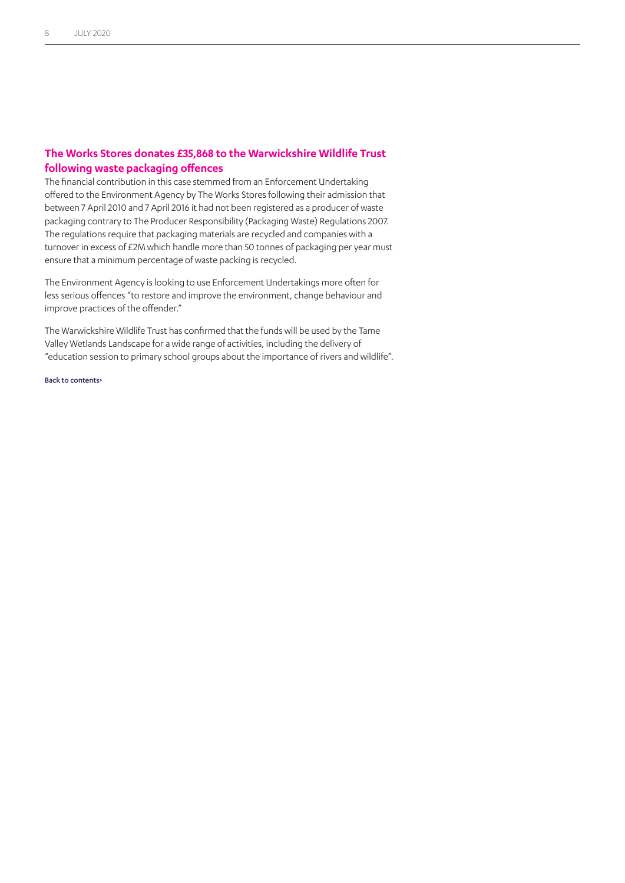## **The Works Stores donates £35,868 to the Warwickshire Wildlife Trust following waste packaging offences**

The financial contribution in this case stemmed from an Enforcement Undertaking offered to the Environment Agency by The Works Stores following their admission that between 7 April 2010 and 7 April 2016 it had not been registered as a producer of waste packaging contrary to The Producer Responsibility (Packaging Waste) Regulations 2007. The regulations require that packaging materials are recycled and companies with a turnover in excess of £2M which handle more than 50 tonnes of packaging per year must ensure that a minimum percentage of waste packing is recycled.

The Environment Agency is looking to use Enforcement Undertakings more often for less serious offences "to restore and improve the environment, change behaviour and improve practices of the offender."

The Warwickshire Wildlife Trust has confirmed that the funds will be used by the Tame Valley Wetlands Landscape for a wide range of activities, including the delivery of "education session to primary school groups about the importance of rivers and wildlife".

[Back to contents>](#page-0-0)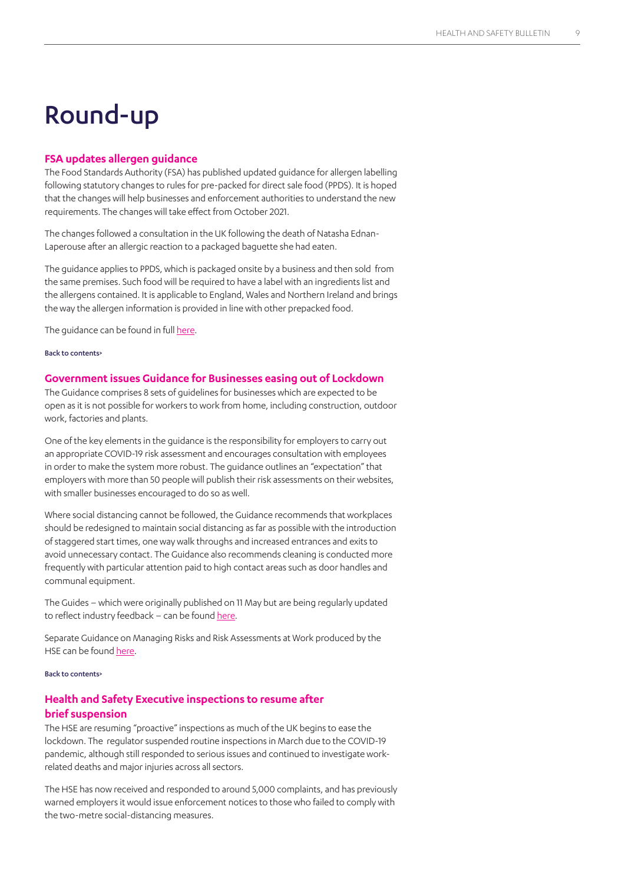## Round-up

#### <span id="page-8-0"></span>**FSA updates allergen guidance**

The Food Standards Authority (FSA) has published updated guidance for allergen labelling following statutory changes to rules for pre-packed for direct sale food (PPDS). It is hoped that the changes will help businesses and enforcement authorities to understand the new requirements. The changes will take effect from October 2021.

The changes followed a consultation in the UK following the death of Natasha Ednan-Laperouse after an allergic reaction to a packaged baguette she had eaten.

The guidance applies to PPDS, which is packaged onsite by a business and then sold from the same premises. Such food will be required to have a label with an ingredients list and the allergens contained. It is applicable to England, Wales and Northern Ireland and brings the way the allergen information is provided in line with other prepacked food.

The guidance can be found in full [here](https://www.food.gov.uk/news-alerts/news/fsa-publishes-updated-allergen-guidance-to-reflect-changes-to-labelling-laws ).

#### [Back to contents>](#page-0-0)

#### <span id="page-8-1"></span>**Government issues Guidance for Businesses easing out of Lockdown**

The Guidance comprises 8 sets of guidelines for businesses which are expected to be open as it is not possible for workers to work from home, including construction, outdoor work, factories and plants.

One of the key elements in the guidance is the responsibility for employers to carry out an appropriate COVID-19 risk assessment and encourages consultation with employees in order to make the system more robust. The guidance outlines an "expectation" that employers with more than 50 people will publish their risk assessments on their websites, with smaller businesses encouraged to do so as well.

Where social distancing cannot be followed, the Guidance recommends that workplaces should be redesigned to maintain social distancing as far as possible with the introduction of staggered start times, one way walk throughs and increased entrances and exits to avoid unnecessary contact. The Guidance also recommends cleaning is conducted more frequently with particular attention paid to high contact areas such as door handles and communal equipment.

The Guides – which were originally published on 11 May but are being regularly updated to reflect industry feedback – can be found [here.](https://www.gov.uk/guidance/working-safely-during-coronavirus-covid-19 )

Separate Guidance on Managing Risks and Risk Assessments at Work produced by the HSE can be found [here.](https://www.hse.gov.uk/simple-health-safety/risk/index.htm )

#### [Back to contents>](#page-0-0)

## **Health and Safety Executive inspections to resume after brief suspension**

The HSE are resuming "proactive" inspections as much of the UK begins to ease the lockdown. The regulator suspended routine inspections in March due to the COVID-19 pandemic, although still responded to serious issues and continued to investigate workrelated deaths and major injuries across all sectors.

The HSE has now received and responded to around 5,000 complaints, and has previously warned employers it would issue enforcement notices to those who failed to comply with the two-metre social-distancing measures.